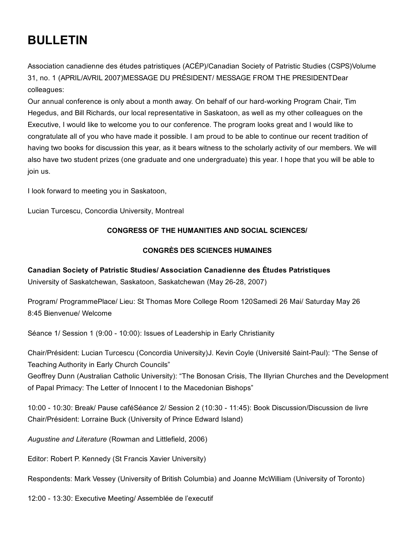# BULLETIN

Association canadienne des études patristiques (ACÉP)/Canadian Society of Patristic Studies (CSPS)Volume 31, no. 1 (APRIL/AVRIL 2007)MESSAGE DU PRÉSIDENT/ MESSAGE FROM THE PRESIDENTDear colleagues:

Our annual conference is only about a month away. On behalf of our hardworking Program Chair, Tim Hegedus, and Bill Richards, our local representative in Saskatoon, as well as my other colleagues on the Executive, I would like to welcome you to our conference. The program looks great and I would like to congratulate all of you who have made it possible. I am proud to be able to continue our recent tradition of having two books for discussion this year, as it bears witness to the scholarly activity of our members. We will also have two student prizes (one graduate and one undergraduate) this year. I hope that you will be able to join us.

I look forward to meeting you in Saskatoon,

Lucian Turcescu, Concordia University, Montreal

## CONGRESS OF THE HUMANITIES AND SOCIAL SCIENCES/

### CONGRÈS DES SCIENCES HUMAINES

#### Canadian Society of Patristic Studies/ Association Canadienne des Études Patristiques

University of Saskatchewan, Saskatoon, Saskatchewan (May 26-28, 2007)

Program/ ProgrammePlace/ Lieu: St Thomas More College Room 120Samedi 26 Mai/ Saturday May 26 8:45 Bienvenue/ Welcome

Séance 1/ Session 1 (9:00 - 10:00): Issues of Leadership in Early Christianity

Chair/Président: Lucian Turcescu (Concordia University)J. Kevin Coyle (Université Saint-Paul): "The Sense of Teaching Authority in Early Church Councils"

Geoffrey Dunn (Australian Catholic University): "The Bonosan Crisis, The Illyrian Churches and the Development of Papal Primacy: The Letter of Innocent I to the Macedonian Bishops"

10:00 10:30: Break/ Pause caféSéance 2/ Session 2 (10:30 11:45): Book Discussion/Discussion de livre Chair/Président: Lorraine Buck (University of Prince Edward Island)

*Augustine and Literature* (Rowman and Littlefield, 2006)

Editor: Robert P. Kennedy (St Francis Xavier University)

Respondents: Mark Vessey (University of British Columbia) and Joanne McWilliam (University of Toronto)

12:00 13:30: Executive Meeting/ Assemblée de l'executif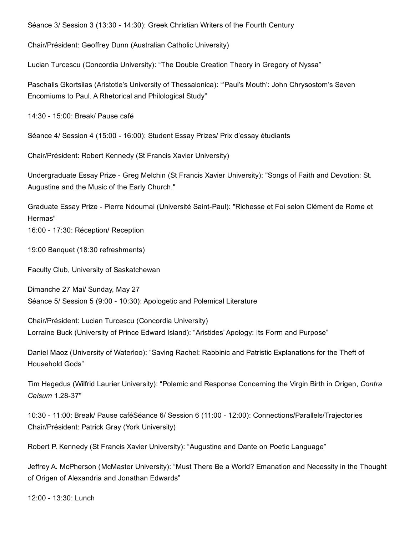Séance 3/ Session 3 (13:30 - 14:30): Greek Christian Writers of the Fourth Century

Chair/Président: Geoffrey Dunn (Australian Catholic University)

Lucian Turcescu (Concordia University): "The Double Creation Theory in Gregory of Nyssa"

Paschalis Gkortsilas (Aristotle's University of Thessalonica): "'Paul's Mouth': John Chrysostom's Seven Encomiums to Paul. A Rhetorical and Philological Study"

14:30 15:00: Break/ Pause café

Séance 4/ Session 4 (15:00 - 16:00): Student Essay Prizes/ Prix d'essay étudiants

Chair/Président: Robert Kennedy (St Francis Xavier University)

Undergraduate Essay Prize - Greg Melchin (St Francis Xavier University): "Songs of Faith and Devotion: St. Augustine and the Music of the Early Church."

Graduate Essay Prize - Pierre Ndoumai (Université Saint-Paul): "Richesse et Foi selon Clément de Rome et Hermas" 16:00 17:30: Réception/ Reception

19:00 Banquet (18:30 refreshments)

Faculty Club, University of Saskatchewan

Dimanche 27 Mai/ Sunday, May 27 Séance 5/ Session 5 (9:00 - 10:30): Apologetic and Polemical Literature

Chair/Président: Lucian Turcescu (Concordia University) Lorraine Buck (University of Prince Edward Island): "Aristides' Apology: Its Form and Purpose"

Daniel Maoz (University of Waterloo): "Saving Rachel: Rabbinic and Patristic Explanations for the Theft of Household Gods"

Tim Hegedus (Wilfrid Laurier University): "Polemic and Response Concerning the Virgin Birth in Origen, *Contra Celsum* 1.28-37"

10:30 11:00: Break/ Pause caféSéance 6/ Session 6 (11:00 12:00): Connections/Parallels/Trajectories Chair/Président: Patrick Gray (York University)

Robert P. Kennedy (St Francis Xavier University): "Augustine and Dante on Poetic Language"

Jeffrey A. McPherson (McMaster University): "Must There Be a World? Emanation and Necessity in the Thought of Origen of Alexandria and Jonathan Edwards"

12:00 - 13:30: Lunch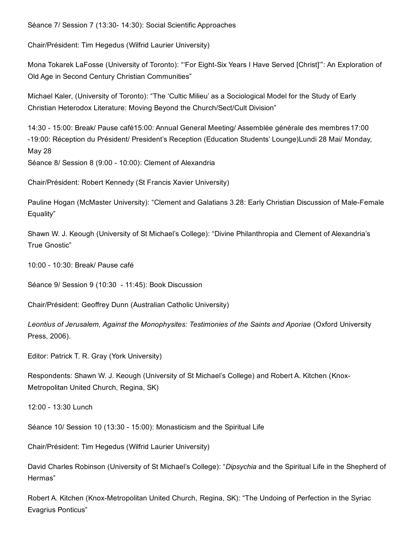Séance 7/ Session 7 (13:30- 14:30): Social Scientific Approaches

Chair/Président: Tim Hegedus (Wilfrid Laurier University)

Mona Tokarek LaFosse (University of Toronto): "'For Eight-Six Years I Have Served [Christ]"': An Exploration of Old Age in Second Century Christian Communities"

Michael Kaler, (University of Toronto): "The 'Cultic Milieu' as a Sociological Model for the Study of Early Christian Heterodox Literature: Moving Beyond the Church/Sect/Cult Division"

14:30 15:00: Break/ Pause café15:00: Annual General Meeting/ Assemblée générale des membres17:00 19:00: Réception du Président/ President's Reception (Education Students' Lounge)Lundi 28 Mai/ Monday, May 28

Séance 8/ Session 8 (9:00 - 10:00): Clement of Alexandria

Chair/Président: Robert Kennedy (St Francis Xavier University)

Pauline Hogan (McMaster University): "Clement and Galatians 3.28: Early Christian Discussion of Male-Female Equality"

Shawn W. J. Keough (University of St Michael's College): "Divine Philanthropia and Clement of Alexandria's True Gnostic"

10:00 10:30: Break/ Pause café

Séance 9/ Session 9 (10:30 - 11:45): Book Discussion

Chair/Président: Geoffrey Dunn (Australian Catholic University)

*Leontius of Jerusalem, Against the Monophysites: Testimonies of the Saints and Aporiae* (Oxford University Press, 2006).

Editor: Patrick T. R. Gray (York University)

Respondents: Shawn W. J. Keough (University of St Michael's College) and Robert A. Kitchen (Knox-Metropolitan United Church, Regina, SK)

12:00 - 13:30 Lunch

Séance 10/ Session 10 (13:30 - 15:00): Monasticism and the Spiritual Life

Chair/Président: Tim Hegedus (Wilfrid Laurier University)

David Charles Robinson (University of St Michael's College): "*Dipsychia* and the Spiritual Life in the Shepherd of Hermas"

Robert A. Kitchen (Knox-Metropolitan United Church, Regina, SK): "The Undoing of Perfection in the Syriac Evagrius Ponticus"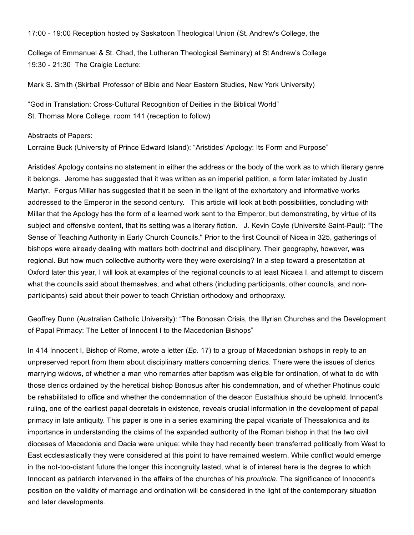17:00 - 19:00 Reception hosted by Saskatoon Theological Union (St. Andrew's College, the

College of Emmanuel & St. Chad, the Lutheran Theological Seminary) at St Andrew's College 19:30 21:30 The Craigie Lecture:

Mark S. Smith (Skirball Professor of Bible and Near Eastern Studies, New York University)

"God in Translation: Cross-Cultural Recognition of Deities in the Biblical World" St. Thomas More College, room 141 (reception to follow)

Abstracts of Papers:

Lorraine Buck (University of Prince Edward Island): "Aristides' Apology: Its Form and Purpose"

Aristides' Apology contains no statement in either the address or the body of the work as to which literary genre it belongs. Jerome has suggested that it was written as an imperial petition, a form later imitated by Justin Martyr. Fergus Millar has suggested that it be seen in the light of the exhortatory and informative works addressed to the Emperor in the second century. This article will look at both possibilities, concluding with Millar that the Apology has the form of a learned work sent to the Emperor, but demonstrating, by virtue of its subject and offensive content, that its setting was a literary fiction. J. Kevin Coyle (Université Saint-Paul): "The Sense of Teaching Authority in Early Church Councils." Prior to the first Council of Nicea in 325, gatherings of bishops were already dealing with matters both doctrinal and disciplinary. Their geography, however, was regional. But how much collective authority were they were exercising? In a step toward a presentation at Oxford later this year, I will look at examples of the regional councils to at least Nicaea I, and attempt to discern what the councils said about themselves, and what others (including participants, other councils, and nonparticipants) said about their power to teach Christian orthodoxy and orthopraxy.

Geoffrey Dunn (Australian Catholic University): "The Bonosan Crisis, the Illyrian Churches and the Development of Papal Primacy: The Letter of Innocent I to the Macedonian Bishops"

In 414 Innocent I, Bishop of Rome, wrote a letter (*Ep*. 17) to a group of Macedonian bishops in reply to an unpreserved report from them about disciplinary matters concerning clerics. There were the issues of clerics marrying widows, of whether a man who remarries after baptism was eligible for ordination, of what to do with those clerics ordained by the heretical bishop Bonosus after his condemnation, and of whether Photinus could be rehabilitated to office and whether the condemnation of the deacon Eustathius should be upheld. Innocent's ruling, one of the earliest papal decretals in existence, reveals crucial information in the development of papal primacy in late antiquity. This paper is one in a series examining the papal vicariate of Thessalonica and its importance in understanding the claims of the expanded authority of the Roman bishop in that the two civil dioceses of Macedonia and Dacia were unique: while they had recently been transferred politically from West to East ecclesiastically they were considered at this point to have remained western. While conflict would emerge in the not-too-distant future the longer this incongruity lasted, what is of interest here is the degree to which Innocent as patriarch intervened in the affairs of the churches of his *prouincia*. The significance of Innocent's position on the validity of marriage and ordination will be considered in the light of the contemporary situation and later developments.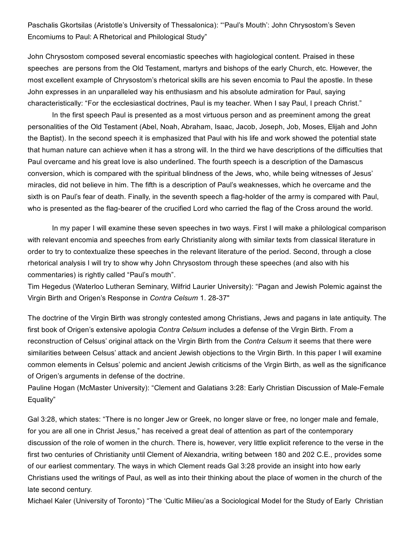Paschalis Gkortsilas (Aristotle's University of Thessalonica): "'Paul's Mouth': John Chrysostom's Seven Encomiums to Paul: A Rhetorical and Philological Study"

John Chrysostom composed several encomiastic speeches with hagiological content. Praised in these speeches are persons from the Old Testament, martyrs and bishops of the early Church, etc. However, the most excellent example of Chrysostom's rhetorical skills are his seven encomia to Paul the apostle. In these John expresses in an unparalleled way his enthusiasm and his absolute admiration for Paul, saying characteristically: "For the ecclesiastical doctrines, Paul is my teacher. When I say Paul, I preach Christ."

In the first speech Paul is presented as a most virtuous person and as preeminent among the great personalities of the Old Testament (Abel, Noah, Abraham, Isaac, Jacob, Joseph, Job, Moses, Elijah and John the Baptist). In the second speech it is emphasized that Paul with his life and work showed the potential state that human nature can achieve when it has a strong will. In the third we have descriptions of the difficulties that Paul overcame and his great love is also underlined. The fourth speech is a description of the Damascus conversion, which is compared with the spiritual blindness of the Jews, who, while being witnesses of Jesus' miracles, did not believe in him. The fifth is a description of Paul's weaknesses, which he overcame and the sixth is on Paul's fear of death. Finally, in the seventh speech a flag-holder of the army is compared with Paul, who is presented as the flag-bearer of the crucified Lord who carried the flag of the Cross around the world.

In my paper I will examine these seven speeches in two ways. First I will make a philological comparison with relevant encomia and speeches from early Christianity along with similar texts from classical literature in order to try to contextualize these speeches in the relevant literature of the period. Second, through a close rhetorical analysis I will try to show why John Chrysostom through these speeches (and also with his commentaries) is rightly called "Paul's mouth".

Tim Hegedus (Waterloo Lutheran Seminary, Wilfrid Laurier University): "Pagan and Jewish Polemic against the Virgin Birth and Origen's Response in *Contra Celsum* 1. 2837"

The doctrine of the Virgin Birth was strongly contested among Christians, Jews and pagans in late antiquity. The first book of Origen's extensive apologia *Contra Celsum* includes a defense of the Virgin Birth. From a reconstruction of Celsus' original attack on the Virgin Birth from the *Contra Celsum* it seems that there were similarities between Celsus' attack and ancient Jewish objections to the Virgin Birth. In this paper I will examine common elements in Celsus' polemic and ancient Jewish criticisms of the Virgin Birth, as well as the significance of Origen's arguments in defense of the doctrine.

Pauline Hogan (McMaster University): "Clement and Galatians 3:28: Early Christian Discussion of Male-Female Equality"

Gal 3:28, which states: "There is no longer Jew or Greek, no longer slave or free, no longer male and female, for you are all one in Christ Jesus," has received a great deal of attention as part of the contemporary discussion of the role of women in the church. There is, however, very little explicit reference to the verse in the first two centuries of Christianity until Clement of Alexandria, writing between 180 and 202 C.E., provides some of our earliest commentary. The ways in which Clement reads Gal 3:28 provide an insight into how early Christians used the writings of Paul, as well as into their thinking about the place of women in the church of the late second century.

Michael Kaler (University of Toronto) "The 'Cultic Milieu'as a Sociological Model for the Study of Early Christian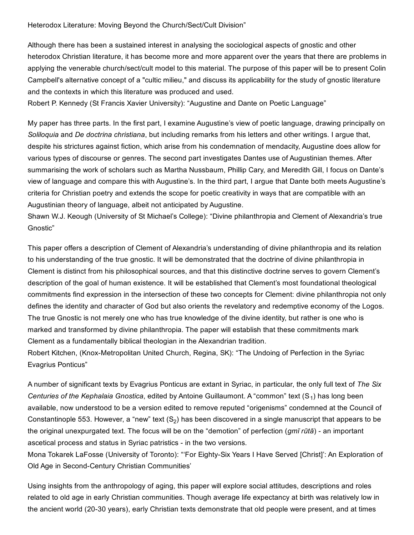Heterodox Literature: Moving Beyond the Church/Sect/Cult Division"

Although there has been a sustained interest in analysing the sociological aspects of gnostic and other heterodox Christian literature, it has become more and more apparent over the years that there are problems in applying the venerable church/sect/cult model to this material. The purpose of this paper will be to present Colin Campbell's alternative concept of a "cultic milieu," and discuss its applicability for the study of gnostic literature and the contexts in which this literature was produced and used.

Robert P. Kennedy (St Francis Xavier University): "Augustine and Dante on Poetic Language"

My paper has three parts. In the first part, I examine Augustine's view of poetic language, drawing principally on *Soliloquia* and *De doctrina christiana*, but including remarks from his letters and other writings. I argue that, despite his strictures against fiction, which arise from his condemnation of mendacity, Augustine does allow for various types of discourse or genres. The second part investigates Dantes use of Augustinian themes. After summarising the work of scholars such as Martha Nussbaum, Phillip Cary, and Meredith Gill, I focus on Dante's view of language and compare this with Augustine's. In the third part, I argue that Dante both meets Augustine's criteria for Christian poetry and extends the scope for poetic creativity in ways that are compatible with an Augustinian theory of language, albeit not anticipated by Augustine.

Shawn W.J. Keough (University of St Michael's College): "Divine philanthropia and Clement of Alexandria's true Gnostic"

This paper offers a description of Clement of Alexandria's understanding of divine philanthropia and its relation to his understanding of the true gnostic. It will be demonstrated that the doctrine of divine philanthropia in Clement is distinct from his philosophical sources, and that this distinctive doctrine serves to govern Clement's description of the goal of human existence. It will be established that Clement's most foundational theological commitments find expression in the intersection of these two concepts for Clement: divine philanthropia not only defines the identity and character of God but also orients the revelatory and redemptive economy of the Logos. The true Gnostic is not merely one who has true knowledge of the divine identity, but rather is one who is marked and transformed by divine philanthropia. The paper will establish that these commitments mark Clement as a fundamentally biblical theologian in the Alexandrian tradition.

Robert Kitchen, (Knox-Metropolitan United Church, Regina, SK): "The Undoing of Perfection in the Syriac Evagrius Ponticus"

A number of significant texts by Evagrius Ponticus are extant in Syriac, in particular, the only full text of *The Six* Centuries of the Kephalaia Gnostica, edited by Antoine Guillaumont. A "common" text (S<sub>1</sub>) has long been available, now understood to be a version edited to remove reputed "origenisms" condemned at the Council of Constantinople 553. However, a "new" text  $(S_2)$  has been discovered in a single manuscript that appears to be the original unexpurgated text. The focus will be on the "demotion" of perfection (*gmī rūtā*) an important ascetical process and status in Syriac patristics - in the two versions.

Mona Tokarek LaFosse (University of Toronto): "'For Eighty-Six Years I Have Served [Christ]': An Exploration of Old Age in Second-Century Christian Communities'

Using insights from the anthropology of aging, this paper will explore social attitudes, descriptions and roles related to old age in early Christian communities. Though average life expectancy at birth was relatively low in the ancient world (20-30 years), early Christian texts demonstrate that old people were present, and at times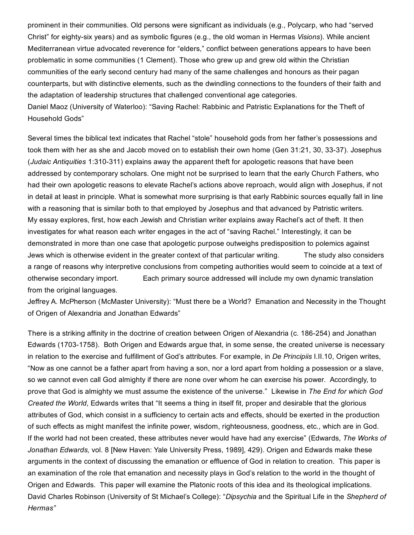prominent in their communities. Old persons were significant as individuals (e.g., Polycarp, who had "served Christ" for eighty-six years) and as symbolic figures (e.g., the old woman in Hermas *Visions*). While ancient Mediterranean virtue advocated reverence for "elders," conflict between generations appears to have been problematic in some communities (1 Clement). Those who grew up and grew old within the Christian communities of the early second century had many of the same challenges and honours as their pagan counterparts, but with distinctive elements, such as the dwindling connections to the founders of their faith and the adaptation of leadership structures that challenged conventional age categories. Daniel Maoz (University of Waterloo): "Saving Rachel: Rabbinic and Patristic Explanations for the Theft of Household Gods"

Several times the biblical text indicates that Rachel "stole" household gods from her father's possessions and took them with her as she and Jacob moved on to establish their own home (Gen 31:21, 30, 33-37). Josephus (*Judaic Antiquities* 1:310311) explains away the apparent theft for apologetic reasons that have been addressed by contemporary scholars. One might not be surprised to learn that the early Church Fathers, who had their own apologetic reasons to elevate Rachel's actions above reproach, would align with Josephus, if not in detail at least in principle. What is somewhat more surprising is that early Rabbinic sources equally fall in line with a reasoning that is similar both to that employed by Josephus and that advanced by Patristic writers. My essay explores, first, how each Jewish and Christian writer explains away Rachel's act of theft. It then investigates for what reason each writer engages in the act of "saving Rachel." Interestingly, it can be demonstrated in more than one case that apologetic purpose outweighs predisposition to polemics against Jews which is otherwise evident in the greater context of that particular writing. The study also considers a range of reasons why interpretive conclusions from competing authorities would seem to coincide at a text of otherwise secondary import. Each primary source addressed will include my own dynamic translation from the original languages.

Jeffrey A. McPherson (McMaster University): "Must there be a World? Emanation and Necessity in the Thought of Origen of Alexandria and Jonathan Edwards"

There is a striking affinity in the doctrine of creation between Origen of Alexandria (c. 186-254) and Jonathan Edwards (1703-1758). Both Origen and Edwards argue that, in some sense, the created universe is necessary in relation to the exercise and fulfillment of God's attributes. For example, in *De Principiis* I.II.10, Origen writes, "Now as one cannot be a father apart from having a son, nor a lord apart from holding a possession or a slave, so we cannot even call God almighty if there are none over whom he can exercise his power. Accordingly, to prove that God is almighty we must assume the existence of the universe." Likewise in *The End for which God Created the World*, Edwards writes that "It seems a thing in itself fit, proper and desirable that the glorious attributes of God, which consist in a sufficiency to certain acts and effects, should be exerted in the production of such effects as might manifest the infinite power, wisdom, righteousness, goodness, etc., which are in God. If the world had not been created, these attributes never would have had any exercise" (Edwards, *The Works of Jonathan Edwards,* vol. 8 [New Haven: Yale University Press, 1989], 429). Origen and Edwards make these arguments in the context of discussing the emanation or effluence of God in relation to creation. This paper is an examination of the role that emanation and necessity plays in God's relation to the world in the thought of Origen and Edwards. This paper will examine the Platonic roots of this idea and its theological implications. David Charles Robinson (University of St Michael's College): "*Dipsychia* and the Spiritual Life in the *Shepherd of Hermas"*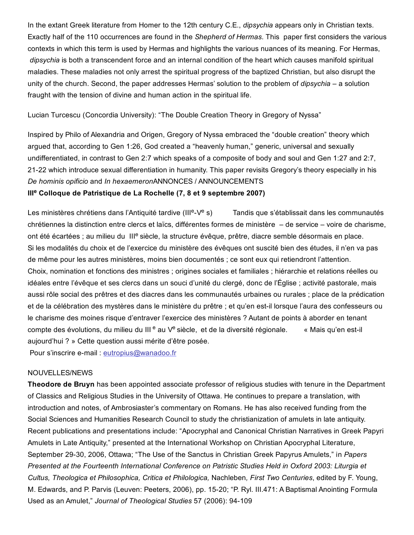In the extant Greek literature from Homer to the 12th century C.E., *dipsychia* appears only in Christian texts. Exactly half of the 110 occurrences are found in the *Shepherd of Hermas*. This paper first considers the various contexts in which this term is used by Hermas and highlights the various nuances of its meaning. For Hermas, *dipsychia* is both a transcendent force and an internal condition of the heart which causes manifold spiritual maladies. These maladies not only arrest the spiritual progress of the baptized Christian, but also disrupt the unity of the church. Second, the paper addresses Hermas' solution to the problem of *dipsychia* – a solution fraught with the tension of divine and human action in the spiritual life.

Lucian Turcescu (Concordia University): "The Double Creation Theory in Gregory of Nyssa"

Inspired by Philo of Alexandria and Origen, Gregory of Nyssa embraced the "double creation" theory which argued that, according to Gen 1:26, God created a "heavenly human," generic, universal and sexually undifferentiated, in contrast to Gen 2:7 which speaks of a composite of body and soul and Gen 1:27 and 2:7, 2122 which introduce sexual differentiation in humanity. This paper revisits Gregory's theory especially in his *De hominis opificio* and *In hexaemeron*ANNONCES / ANNOUNCEMENTS

# III<sup>e</sup> Colloque de Patristique de La Rochelle (7, 8 et 9 septembre 2007)

Les ministères chrétiens dans l'Antiquité tardive (III<sup>e</sup>-V<sup>e</sup> s) Tandis que s'établissait dans les communautés chrétiennes la distinction entre clercs et laïcs, différentes formes de ministère – de service – voire de charisme, ont été écartées ; au milieu du III<sup>e</sup> siècle, la structure évêque, prêtre, diacre semble désormais en place. Si les modalités du choix et de l'exercice du ministère des évêques ont suscité bien des études, il n'en va pas de même pour les autres ministères, moins bien documentés ; ce sont eux qui retiendront l'attention. Choix, nomination et fonctions des ministres ; origines sociales et familiales ; hiérarchie et relations réelles ou idéales entre l'évêque et ses clercs dans un souci d'unité du clergé, donc de l'Église ; activité pastorale, mais aussi rôle social des prêtres et des diacres dans les communautés urbaines ou rurales ; place de la prédication et de la célébration des mystères dans le ministère du prêtre ; et qu'en est-il lorsque l'aura des confesseurs ou le charisme des moines risque d'entraver l'exercice des ministères ? Autant de points à aborder en tenant compte des évolutions, du milieu du III<sup>e</sup> au V<sup>e</sup> siècle, et de la diversité régionale. « Mais qu'en est-il aujourd'hui ? » Cette question aussi mérite d'être posée.

Pour s'inscrire e-mail : [eutropius@wanadoo.fr](mailto:eutropius@wanadoo.fr)

### NOUVELLES/NEWS

Theodore de Bruyn has been appointed associate professor of religious studies with tenure in the Department of Classics and Religious Studies in the University of Ottawa. He continues to prepare a translation, with introduction and notes, of Ambrosiaster's commentary on Romans. He has also received funding from the Social Sciences and Humanities Research Council to study the christianization of amulets in late antiquity. Recent publications and presentations include: "Apocryphal and Canonical Christian Narratives in Greek Papyri Amulets in Late Antiquity," presented at the International Workshop on Christian Apocryphal Literature, September 2930, 2006, Ottawa; "The Use of the Sanctus in Christian Greek Papyrus Amulets," in *Papers Presented at the Fourteenth International Conference on Patristic Studies Held in Oxford 2003: Liturgia et Cultus, Theologica et Philosophica, Critica et Philologica,* Nachleben*, First Two Centuries*, edited by F. Young, M. Edwards, and P. Parvis (Leuven: Peeters, 2006), pp. 1520; "P. Ryl. III.471: A Baptismal Anointing Formula Used as an Amulet," *Journal of Theological Studies* 57 (2006): 94-109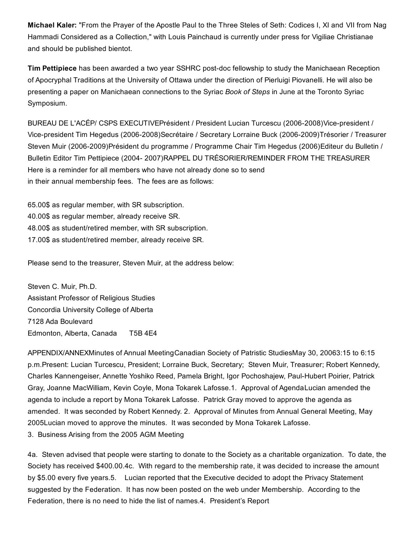Michael Kaler: "From the Prayer of the Apostle Paul to the Three Steles of Seth: Codices I, XI and VII from Nag Hammadi Considered as a Collection," with Louis Painchaud is currently under press for Vigiliae Christianae and should be published bientot.

Tim Pettipiece has been awarded a two year SSHRC post-doc fellowship to study the Manichaean Reception of Apocryphal Traditions at the University of Ottawa under the direction of Pierluigi Piovanelli. He will also be presenting a paper on Manichaean connections to the Syriac *Book of Steps* in June at the Toronto Syriac Symposium.

BUREAU DE L'ACÉP/ CSPS EXECUTIVEPrésident / President Lucian Turcescu (2006-2008)Vice-president / Vice-president Tim Hegedus (2006-2008)Secrétaire / Secretary Lorraine Buck (2006-2009)Trésorier / Treasurer Steven Muir (2006-2009)Président du programme / Programme Chair Tim Hegedus (2006)Editeur du Bulletin / Bulletin Editor Tim Pettipiece (2004 2007)RAPPEL DU TRÉSORIER/REMINDER FROM THE TREASURER Here is a reminder for all members who have not already done so to send in their annual membership fees. The fees are as follows:

65.00\$ as regular member, with SR subscription. 40.00\$ as regular member, already receive SR. 48.00\$ as student/retired member, with SR subscription. 17.00\$ as student/retired member, already receive SR.

Please send to the treasurer, Steven Muir, at the address below:

Steven C. Muir, Ph.D. Assistant Professor of Religious Studies Concordia University College of Alberta 7128 Ada Boulevard Edmonton, Alberta, Canada T5B 4E4

APPENDIX/ANNEXMinutes of Annual MeetingCanadian Society of Patristic StudiesMay 30, 20063:15 to 6:15 p.m.Present: Lucian Turcescu, President; Lorraine Buck, Secretary; Steven Muir, Treasurer; Robert Kennedy, Charles Kannengeiser, Annette Yoshiko Reed, Pamela Bright, Igor Pochoshajew, PaulHubert Poirier, Patrick Gray, Joanne MacWilliam, Kevin Coyle, Mona Tokarek Lafosse.1. Approval of AgendaLucian amended the agenda to include a report by Mona Tokarek Lafosse. Patrick Gray moved to approve the agenda as amended. It was seconded by Robert Kennedy. 2. Approval of Minutes from Annual General Meeting, May 2005Lucian moved to approve the minutes. It was seconded by Mona Tokarek Lafosse.

3. Business Arising from the 2005 AGM Meeting

4a. Steven advised that people were starting to donate to the Society as a charitable organization. To date, the Society has received \$400.00.4c. With regard to the membership rate, it was decided to increase the amount by \$5.00 every five years.5. Lucian reported that the Executive decided to adopt the Privacy Statement suggested by the Federation. It has now been posted on the web under Membership. According to the Federation, there is no need to hide the list of names.4. President's Report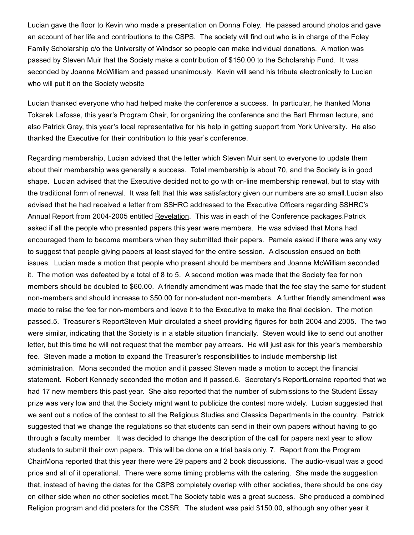Lucian gave the floor to Kevin who made a presentation on Donna Foley. He passed around photos and gave an account of her life and contributions to the CSPS. The society will find out who is in charge of the Foley Family Scholarship c/o the University of Windsor so people can make individual donations. A motion was passed by Steven Muir that the Society make a contribution of \$150.00 to the Scholarship Fund. It was seconded by Joanne McWilliam and passed unanimously. Kevin will send his tribute electronically to Lucian who will put it on the Society website

Lucian thanked everyone who had helped make the conference a success. In particular, he thanked Mona Tokarek Lafosse, this year's Program Chair, for organizing the conference and the Bart Ehrman lecture, and also Patrick Gray, this year's local representative for his help in getting support from York University. He also thanked the Executive for their contribution to this year's conference.

Regarding membership, Lucian advised that the letter which Steven Muir sent to everyone to update them about their membership was generally a success. Total membership is about 70, and the Society is in good shape. Lucian advised that the Executive decided not to go with on-line membership renewal, but to stay with the traditional form of renewal. It was felt that this was satisfactory given our numbers are so small.Lucian also advised that he had received a letter from SSHRC addressed to the Executive Officers regarding SSHRC's Annual Report from 2004-2005 entitled Revelation. This was in each of the Conference packages. Patrick asked if all the people who presented papers this year were members. He was advised that Mona had encouraged them to become members when they submitted their papers. Pamela asked if there was any way to suggest that people giving papers at least stayed for the entire session. A discussion ensued on both issues. Lucian made a motion that people who present should be members and Joanne McWilliam seconded it. The motion was defeated by a total of 8 to 5. A second motion was made that the Society fee for non members should be doubled to \$60.00. A friendly amendment was made that the fee stay the same for student non-members and should increase to \$50.00 for non-student non-members. A further friendly amendment was made to raise the fee for non-members and leave it to the Executive to make the final decision. The motion passed.5. Treasurer's ReportSteven Muir circulated a sheet providing figures for both 2004 and 2005. The two were similar, indicating that the Society is in a stable situation financially. Steven would like to send out another letter, but this time he will not request that the member pay arrears. He will just ask for this year's membership fee. Steven made a motion to expand the Treasurer's responsibilities to include membership list administration. Mona seconded the motion and it passed.Steven made a motion to accept the financial statement. Robert Kennedy seconded the motion and it passed.6. Secretary's ReportLorraine reported that we had 17 new members this past year. She also reported that the number of submissions to the Student Essay prize was very low and that the Society might want to publicize the contest more widely. Lucian suggested that we sent out a notice of the contest to all the Religious Studies and Classics Departments in the country. Patrick suggested that we change the regulations so that students can send in their own papers without having to go through a faculty member. It was decided to change the description of the call for papers next year to allow students to submit their own papers. This will be done on a trial basis only. 7. Report from the Program ChairMona reported that this year there were 29 papers and 2 book discussions. The audio-visual was a good price and all of it operational. There were some timing problems with the catering. She made the suggestion that, instead of having the dates for the CSPS completely overlap with other societies, there should be one day on either side when no other societies meet.The Society table was a great success. She produced a combined Religion program and did posters for the CSSR. The student was paid \$150.00, although any other year it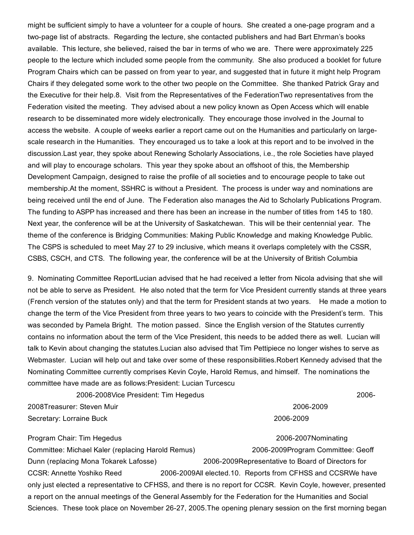might be sufficient simply to have a volunteer for a couple of hours. She created a one-page program and a two-page list of abstracts. Regarding the lecture, she contacted publishers and had Bart Ehrman's books available. This lecture, she believed, raised the bar in terms of who we are. There were approximately 225 people to the lecture which included some people from the community. She also produced a booklet for future Program Chairs which can be passed on from year to year, and suggested that in future it might help Program Chairs if they delegated some work to the other two people on the Committee. She thanked Patrick Gray and the Executive for their help.8. Visit from the Representatives of the FederationTwo representatives from the Federation visited the meeting. They advised about a new policy known as Open Access which will enable research to be disseminated more widely electronically. They encourage those involved in the Journal to access the website. A couple of weeks earlier a report came out on the Humanities and particularly on largescale research in the Humanities. They encouraged us to take a look at this report and to be involved in the discussion.Last year, they spoke about Renewing Scholarly Associations, i.e., the role Societies have played and will play to encourage scholars. This year they spoke about an offshoot of this, the Membership Development Campaign, designed to raise the profile of all societies and to encourage people to take out membership.At the moment, SSHRC is without a President. The process is under way and nominations are being received until the end of June. The Federation also manages the Aid to Scholarly Publications Program. The funding to ASPP has increased and there has been an increase in the number of titles from 145 to 180. Next year, the conference will be at the University of Saskatchewan. This will be their centennial year. The theme of the conference is Bridging Communities: Making Public Knowledge and making Knowledge Public. The CSPS is scheduled to meet May 27 to 29 inclusive, which means it overlaps completely with the CSSR, CSBS, CSCH, and CTS. The following year, the conference will be at the University of British Columbia

9. Nominating Committee ReportLucian advised that he had received a letter from Nicola advising that she will not be able to serve as President. He also noted that the term for Vice President currently stands at three years (French version of the statutes only) and that the term for President stands at two years. He made a motion to change the term of the Vice President from three years to two years to coincide with the President's term. This was seconded by Pamela Bright. The motion passed. Since the English version of the Statutes currently contains no information about the term of the Vice President, this needs to be added there as well. Lucian will talk to Kevin about changing the statutes.Lucian also advised that Tim Pettipiece no longer wishes to serve as Webmaster. Lucian will help out and take over some of these responsibilities.Robert Kennedy advised that the Nominating Committee currently comprises Kevin Coyle, Harold Remus, and himself. The nominations the committee have made are as follows:President: Lucian Turcescu

2006-2008Vice President: Tim Hegedus 2006-2006-2006-2006-2006-2008Treasurer: Steven Muir 20062009

# Secretary: Lorraine Buck 2006-2009

Program Chair: Tim Hegedus 2006-2007Nominating Committee: Michael Kaler (replacing Harold Remus) 20062009Program Committee: Geoff Dunn (replacing Mona Tokarek Lafosse) 20062009Representative to Board of Directors for CCSR: Annette Yoshiko Reed 2006-2009All elected.10. Reports from CFHSS and CCSRWe have only just elected a representative to CFHSS, and there is no report for CCSR. Kevin Coyle, however, presented a report on the annual meetings of the General Assembly for the Federation for the Humanities and Social Sciences. These took place on November 26-27, 2005. The opening plenary session on the first morning began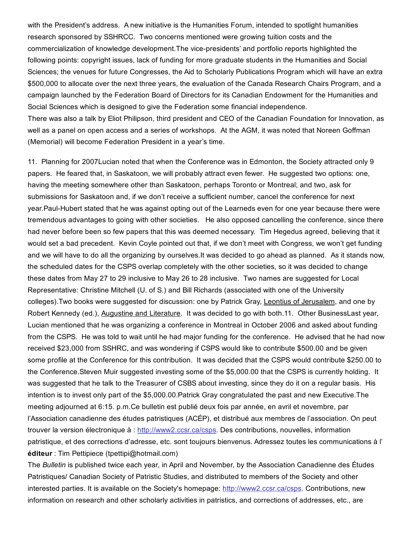with the President's address. A new initiative is the Humanities Forum, intended to spotlight humanities research sponsored by SSHRCC. Two concerns mentioned were growing tuition costs and the commercialization of knowledge development. The vice-presidents' and portfolio reports highlighted the following points: copyright issues, lack of funding for more graduate students in the Humanities and Social Sciences; the venues for future Congresses, the Aid to Scholarly Publications Program which will have an extra \$500,000 to allocate over the next three years, the evaluation of the Canada Research Chairs Program, and a campaign launched by the Federation Board of Directors for its Canadian Endowment for the Humanities and Social Sciences which is designed to give the Federation some financial independence. There was also a talk by Eliot Philipson, third president and CEO of the Canadian Foundation for Innovation, as

well as a panel on open access and a series of workshops. At the AGM, it was noted that Noreen Goffman (Memorial) will become Federation President in a year's time.

11. Planning for 2007Lucian noted that when the Conference was in Edmonton, the Society attracted only 9 papers. He feared that, in Saskatoon, we will probably attract even fewer. He suggested two options: one, having the meeting somewhere other than Saskatoon, perhaps Toronto or Montreal; and two, ask for submissions for Saskatoon and, if we don't receive a sufficient number, cancel the conference for next year. Paul-Hubert stated that he was against opting out of the Learneds even for one year because there were tremendous advantages to going with other societies. He also opposed cancelling the conference, since there had never before been so few papers that this was deemed necessary. Tim Hegedus agreed, believing that it would set a bad precedent. Kevin Coyle pointed out that, if we don't meet with Congress, we won't get funding and we will have to do all the organizing by ourselves.It was decided to go ahead as planned. As it stands now, the scheduled dates for the CSPS overlap completely with the other societies, so it was decided to change these dates from May 27 to 29 inclusive to May 26 to 28 inclusive. Two names are suggested for Local Representative: Christine Mitchell (U. of S.) and Bill Richards (associated with one of the University colleges).Two books were suggested for discussion: one by Patrick Gray, Leontius of Jerusalem, and one by Robert Kennedy (ed.), Augustine and Literature. It was decided to go with both.11. Other BusinessLast year, Lucian mentioned that he was organizing a conference in Montreal in October 2006 and asked about funding from the CSPS. He was told to wait until he had major funding for the conference. He advised that he had now received \$23,000 from SSHRC, and was wondering if CSPS would like to contribute \$500.00 and be given some profile at the Conference for this contribution. It was decided that the CSPS would contribute \$250.00 to the Conference.Steven Muir suggested investing some of the \$5,000.00 that the CSPS is currently holding. It was suggested that he talk to the Treasurer of CSBS about investing, since they do it on a regular basis. His intention is to invest only part of the \$5,000.00.Patrick Gray congratulated the past and new Executive.The meeting adjourned at 6:15. p.m.Ce bulletin est publié deux fois par année, en avril et novembre, par l'Association canadienne des études patristiques (ACÉP), et distribué aux membres de l'association. On peut trouver la version électronique à : [http://www2.ccsr.ca/csps.](http://web.archive.org/web/20150201000920/http://www2.ccsr.ca/csps) Des contributions, nouvelles, information patristique, et des corrections d'adresse, etc. sont toujours bienvenus. Adressez toutes les communications à l' éditeur : Tim Pettipiece (tpettipi@hotmail.com)

The *Bulletin* is published twice each year, in April and November, by the Association Canadienne des Études Patristiques/ Canadian Society of Patristic Studies, and distributed to members of the Society and other interested parties. It is available on the Society's homepage: [http://www2.ccsr.ca/csps.](http://web.archive.org/web/20150201000920/http://www2.ccsr.ca/csps) Contributions, new information on research and other scholarly activities in patristics, and corrections of addresses, etc., are